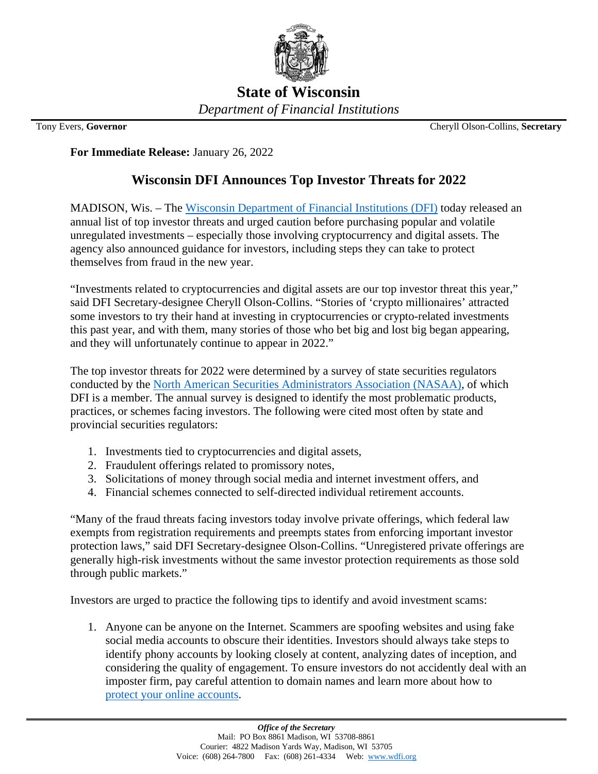

**State of Wisconsin** *Department of Financial Institutions*

Tony Evers, **Governor** Cheryll Olson-Collins, **Secretary**

**For Immediate Release:** January 26, 2022

## **Wisconsin DFI Announces Top Investor Threats for 2022**

MADISON, Wis. – The [Wisconsin Department of Financial Institutions \(DFI\)](https://wdfi.org/) today released an annual list of top investor threats and urged caution before purchasing popular and volatile unregulated investments – especially those involving cryptocurrency and digital assets. The agency also announced guidance for investors, including steps they can take to protect themselves from fraud in the new year.

"Investments related to cryptocurrencies and digital assets are our top investor threat this year," said DFI Secretary-designee Cheryll Olson-Collins. "Stories of 'crypto millionaires' attracted some investors to try their hand at investing in cryptocurrencies or crypto-related investments this past year, and with them, many stories of those who bet big and lost big began appearing, and they will unfortunately continue to appear in 2022."

The top investor threats for 2022 were determined by a survey of state securities regulators conducted by the [North American Securities Administrators Association \(NASAA\),](https://www.nasaa.org/) of which DFI is a member. The annual survey is designed to identify the most problematic products, practices, or schemes facing investors. The following were cited most often by state and provincial securities regulators:

- 1. Investments tied to cryptocurrencies and digital assets,
- 2. Fraudulent offerings related to promissory notes,
- 3. Solicitations of money through social media and internet investment offers, and
- 4. Financial schemes connected to self-directed individual retirement accounts.

"Many of the fraud threats facing investors today involve private offerings, which federal law exempts from registration requirements and preempts states from enforcing important investor protection laws," said DFI Secretary-designee Olson-Collins. "Unregistered private offerings are generally high-risk investments without the same investor protection requirements as those sold through public markets."

Investors are urged to practice the following tips to identify and avoid investment scams:

1. Anyone can be anyone on the Internet. Scammers are spoofing websites and using fake social media accounts to obscure their identities. Investors should always take steps to identify phony accounts by looking closely at content, analyzing dates of inception, and considering the quality of engagement. To ensure investors do not accidently deal with an imposter firm, pay careful attention to domain names and learn more about how to [protect your online accounts.](https://www.nasaa.org/56834/informed-investor-advisory-protecting-your-online-accounts/?qoid=investor-advisories)